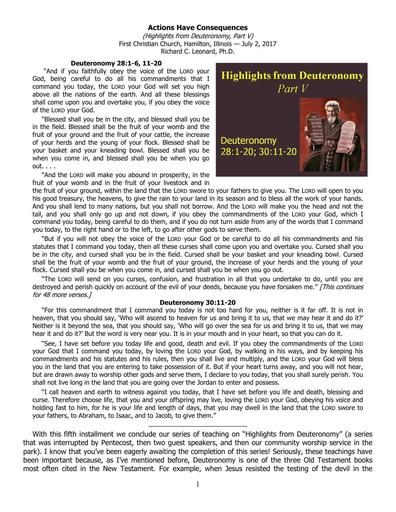## **Actions Have Consequences**

(Highlights from Deuteronomy, Part V) First Christian Church, Hamilton, Illinois — July 2, 2017 Richard C. Leonard, Ph.D.

## **Deuteronomy 28:1-6, 11-20**

 "And if you faithfully obey the voice of the LORD your God, being careful to do all his commandments that I command you today, the LORD your God will set you high above all the nations of the earth. And all these blessings shall come upon you and overtake you, if you obey the voice of the LORD your God.

"Blessed shall you be in the city, and blessed shall you be in the field. Blessed shall be the fruit of your womb and the fruit of your ground and the fruit of your cattle, the increase of your herds and the young of your flock. Blessed shall be your basket and your kneading bowl. Blessed shall you be when you come in, and blessed shall you be when you go out. . . .

"And the LORD will make you abound in prosperity, in the fruit of your womb and in the fruit of your livestock and in



the fruit of your ground, within the land that the LORD swore to your fathers to give you. The LORD will open to you his good treasury, the heavens, to give the rain to your land in its season and to bless all the work of your hands. And you shall lend to many nations, but you shall not borrow. And the LORD will make you the head and not the tail, and you shall only go up and not down, if you obey the commandments of the LORD your God, which I command you today, being careful to do them, and if you do not turn aside from any of the words that I command you today, to the right hand or to the left, to go after other gods to serve them.

"But if you will not obey the voice of the LORD your God or be careful to do all his commandments and his statutes that I command you today, then all these curses shall come upon you and overtake you. Cursed shall you be in the city, and cursed shall you be in the field. Cursed shall be your basket and your kneading bowl. Cursed shall be the fruit of your womb and the fruit of your ground, the increase of your herds and the young of your flock. Cursed shall you be when you come in, and cursed shall you be when you go out.

"The LORD will send on you curses, confusion, and frustration in all that you undertake to do, until you are destroyed and perish quickly on account of the evil of your deeds, because you have forsaken me." [This continues for 48 more verses.]

## **Deuteronomy 30:11-20**

"For this commandment that I command you today is not too hard for you, neither is it far off. It is not in heaven, that you should say, 'Who will ascend to heaven for us and bring it to us, that we may hear it and do it?' Neither is it beyond the sea, that you should say, 'Who will go over the sea for us and bring it to us, that we may hear it and do it?' But the word is very near you. It is in your mouth and in your heart, so that you can do it.

"See, I have set before you today life and good, death and evil. If you obey the commandments of the LORD your God that I command you today, by loving the LORD your God, by walking in his ways, and by keeping his commandments and his statutes and his rules, then you shall live and multiply, and the LORD your God will bless you in the land that you are entering to take possession of it. But if your heart turns away, and you will not hear, but are drawn away to worship other gods and serve them, I declare to you today, that you shall surely perish. You shall not live long in the land that you are going over the Jordan to enter and possess.

"I call heaven and earth to witness against you today, that I have set before you life and death, blessing and curse. Therefore choose life, that you and your offspring may live, loving the LORD your God, obeying his voice and holding fast to him, for he is your life and length of days, that you may dwell in the land that the LORD swore to your fathers, to Abraham, to Isaac, and to Jacob, to give them."

\_\_\_\_\_\_\_\_\_\_\_\_\_\_\_\_\_\_\_\_\_\_\_\_\_\_\_\_

With this fifth installment we conclude our series of teaching on "Highlights from Deuteronomy" (a series that was interrupted by Pentecost, then two guest speakers, and then our community worship service in the park). I know that you've been eagerly awaiting the completion of this series! Seriously, these teachings have been important because, as I've mentioned before, Deuteronomy is one of the three Old Testament books most often cited in the New Testament. For example, when Jesus resisted the testing of the devil in the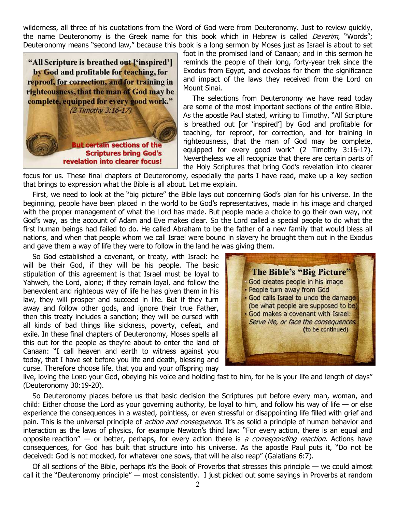wilderness, all three of his quotations from the Word of God were from Deuteronomy. Just to review quickly, the name Deuteronomy is the Greek name for this book which in Hebrew is called *Deverim*, "Words"; Deuteronomy means "second law," because this book is a long sermon by Moses just as Israel is about to set

"All Scripture is breathed out ['inspired'] by God and profitable for teaching, for reproof, for correction, and for training in righteousness, that the man of God may be complete, equipped for every good work." (2 Timothy 3:16-17)

**But certain sections of the Scriptures bring God's** revelation into clearer focus!

foot in the promised land of Canaan; and in this sermon he reminds the people of their long, forty-year trek since the Exodus from Egypt, and develops for them the significance and impact of the laws they received from the Lord on Mount Sinai.

The selections from Deuteronomy we have read today are some of the most important sections of the entire Bible. As the apostle Paul stated, writing to Timothy, "All Scripture is breathed out [or 'inspired'] by God and profitable for teaching, for reproof, for correction, and for training in righteousness, that the man of God may be complete, equipped for every good work" (2 Timothy 3:16-17). Nevertheless we all recognize that there are certain parts of the Holy Scriptures that bring God's revelation into clearer

focus for us. These final chapters of Deuteronomy, especially the parts I have read, make up a key section that brings to expression what the Bible is all about. Let me explain.

First, we need to look at the "big picture" the Bible lays out concerning God's plan for his universe. In the beginning, people have been placed in the world to be God's representatives, made in his image and charged with the proper management of what the Lord has made. But people made a choice to go their own way, not God's way, as the account of Adam and Eve makes clear. So the Lord called a special people to do what the first human beings had failed to do. He called Abraham to be the father of a new family that would bless all nations, and when that people whom we call Israel were bound in slavery he brought them out in the Exodus and gave them a way of life they were to follow in the land he was giving them.

So God established a covenant, or treaty, with Israel: he will be their God, if they will be his people. The basic stipulation of this agreement is that Israel must be loyal to Yahweh, the Lord, alone; if they remain loyal, and follow the benevolent and righteous way of life he has given them in his law, they will prosper and succeed in life. But if they turn away and follow other gods, and ignore their true Father, then this treaty includes a sanction; they will be cursed with all kinds of bad things like sickness, poverty, defeat, and exile. In these final chapters of Deuteronomy, Moses spells all this out for the people as they're about to enter the land of Canaan: "I call heaven and earth to witness against you today, that I have set before you life and death, blessing and curse. Therefore choose life, that you and your offspring may



live, loving the LORD your God, obeying his voice and holding fast to him, for he is your life and length of days" (Deuteronomy 30:19-20).

So Deuteronomy places before us that basic decision the Scriptures put before every man, woman, and child: Either choose the Lord as your governing authority, be loyal to him, and follow his way of life  $-$  or else experience the consequences in a wasted, pointless, or even stressful or disappointing life filled with grief and pain. This is the universal principle of *action and consequence*. It's as solid a principle of human behavior and interaction as the laws of physics, for example Newton's third law: "For every action, there is an equal and opposite reaction" — or better, perhaps, for every action there is a corresponding reaction. Actions have consequences, for God has built that structure into his universe. As the apostle Paul puts it, "Do not be deceived: God is not mocked, for whatever one sows, that will he also reap" (Galatians 6:7).

Of all sections of the Bible, perhaps it's the Book of Proverbs that stresses this principle — we could almost call it the "Deuteronomy principle" — most consistently. I just picked out some sayings in Proverbs at random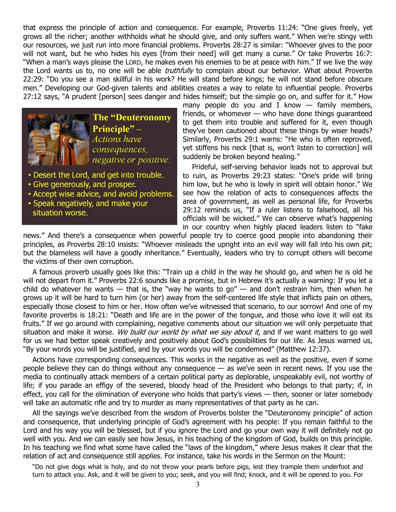that express the principle of action and consequence. For example, Proverbs 11:24: "One gives freely, yet grows all the richer; another withholds what he should give, and only suffers want." When we're stingy with our resources, we just run into more financial problems. Proverbs 28:27 is similar: "Whoever gives to the poor will not want, but he who hides his eyes [from their need] will get many a curse." Or take Proverbs 16:7: "When a man's ways please the LORD, he makes even his enemies to be at peace with him." If we live the way the Lord wants us to, no one will be able *truthfully* to complain about our behavior. What about Proverbs 22:29: "Do you see a man skillful in his work? He will stand before kings; he will not stand before obscure men." Developing our God-given talents and abilities creates a way to relate to influential people. Proverbs 27:12 says, "A prudent [person] sees danger and hides himself; but the simple go on, and suffer for it." How



- Desert the Lord, and get into trouble.
- Give generously, and prosper.
- Accept wise advice, and avoid problems.
- Speak negatively, and make your situation worse.

many people do you and I know  $-$  family members, friends, or whomever — who have done things guaranteed to get them into trouble and suffered for it, even though they've been cautioned about these things by wiser heads? Similarly, Proverbs 29:1 warns: "He who is often reproved, yet stiffens his neck [that is, won't listen to correction] will suddenly be broken beyond healing."

Prideful, self-serving behavior leads not to approval but to ruin, as Proverbs 29:23 states: "One's pride will bring him low, but he who is lowly in spirit will obtain honor." We see how the relation of acts to consequences affects the area of government, as well as personal life, for Proverbs 29:12 reminds us, "If a ruler listens to falsehood, all his officials will be wicked." We can observe what's happening in our country when highly placed leaders listen to "fake

news." And there's a consequence when powerful people try to coerce good people into abandoning their principles, as Proverbs 28:10 insists: "Whoever misleads the upright into an evil way will fall into his own pit; but the blameless will have a goodly inheritance." Eventually, leaders who try to corrupt others will become the victims of their own corruption.

A famous proverb usually goes like this: "Train up a child in the way he should go, and when he is old he will not depart from it." Proverbs 22:6 sounds like a promise, but in Hebrew it's actually a warning: If you let a child do whatever he wants  $-$  that is, the "way he wants to go"  $-$  and don't restrain him, then when he grows up it will be hard to turn him (or her) away from the self-centered life style that inflicts pain on others, especially those closest to him or her. How often we've witnessed that scenario, to our sorrow! And one of my favorite proverbs is 18:21: "Death and life are in the power of the tongue, and those who love it will eat its fruits." If we go around with complaining, negative comments about our situation we will only perpetuate that situation and make it worse. We build our world by what we say about it, and if we want matters to go well for us we had better speak creatively and positively about God's possibilities for our life. As Jesus warned us, "By your words you will be justified, and by your words you will be condemned" (Matthew 12:37).

Actions have corresponding consequences. This works in the negative as well as the positive, even if some people believe they can do things without any consequence — as we've seen in recent news. If you use the media to continually attack members of a certain political party as deplorable, unspeakably evil, not worthy of life; if you parade an effigy of the severed, bloody head of the President who belongs to that party; if, in effect, you call for the elimination of everyone who holds that party's views — then, sooner or later somebody will take an automatic rifle and try to murder as many representatives of that party as he can.

All the sayings we've described from the wisdom of Proverbs bolster the "Deuteronomy principle" of action and consequence, that underlying principle of God's agreement with his people: If you remain faithful to the Lord and his way you will be blessed, but if you ignore the Lord and go your own way it will definitely not go well with you. And we can easily see how Jesus, in his teaching of the kingdom of God, builds on this principle. In his teaching we find what some have called the "laws of the kingdom," where Jesus makes it clear that the relation of act and consequence still applies. For instance, take his words in the Sermon on the Mount:

"Do not give dogs what is holy, and do not throw your pearls before pigs, lest they trample them underfoot and turn to attack you. Ask, and it will be given to you; seek, and you will find; knock, and it will be opened to you. For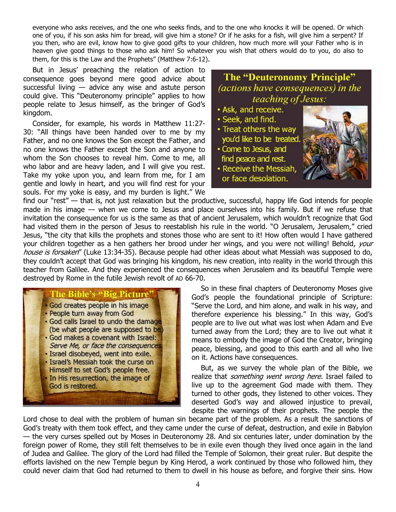everyone who asks receives, and the one who seeks finds, and to the one who knocks it will be opened. Or which one of you, if his son asks him for bread, will give him a stone? Or if he asks for a fish, will give him a serpent? If you then, who are evil, know how to give good gifts to your children, how much more will your Father who is in heaven give good things to those who ask him! So whatever you wish that others would do to you, do also to them, for this is the Law and the Prophets" (Matthew 7:6-12).

But in Jesus' preaching the relation of action to consequence goes beyond mere good advice about successful living — advice any wise and astute person could give. This "Deuteronomy principle" applies to how people relate to Jesus himself, as the bringer of God's kingdom.

Consider, for example, his words in Matthew 11:27- 30: "All things have been handed over to me by my Father, and no one knows the Son except the Father, and no one knows the Father except the Son and anyone to whom the Son chooses to reveal him. Come to me, all who labor and are heavy laden, and I will give you rest. Take my yoke upon you, and learn from me, for I am gentle and lowly in heart, and you will find rest for your souls. For my yoke is easy, and my burden is light." We

**The "Deuteronomy Principle"** (actions have consequences) in the teaching of Jesus:

- Ask, and receive.
- · Seek, and find.
- Treat others the way you'd like to be treated.
- Come to Jesus, and find peace and rest.
- Receive the Messiah, or face desolation.



find our "rest" — that is, not just relaxation but the productive, successful, happy life God intends for people made in his image — when we come to Jesus and place ourselves into his family. But if we refuse that invitation the consequence for us is the same as that of ancient Jerusalem, which wouldn't recognize that God had visited them in the person of Jesus to reestablish his rule in the world. "O Jerusalem, Jerusalem," cried Jesus, "the city that kills the prophets and stones those who are sent to it! How often would I have gathered your children together as a hen gathers her brood under her wings, and you were not willing! Behold, *your* house is forsaken" (Luke 13:34-35). Because people had other ideas about what Messiah was supposed to do, they couldn't accept that God was bringing his kingdom, his new creation, into reality in the world through this teacher from Galilee. And they experienced the consequences when Jerusalem and its beautiful Temple were destroyed by Rome in the futile Jewish revolt of AD 66-70.

The Bible's "Big Picture" God creates people in his image · People turn away from God . God calls Israel to undo the damage (be what people are supposed to be) . God makes a covenant with Israel: Serve Me, or face the consequences · Israel disobeyed, went into exile. · Israel's Messiah took the curse on Himself to set God's people free. In His resurrection, the image of God is restored.

So in these final chapters of Deuteronomy Moses give God's people the foundational principle of Scripture: "Serve the Lord, and him alone, and walk in his way, and therefore experience his blessing." In this way, God's people are to live out what was lost when Adam and Eve turned away from the Lord; they are to live out what it means to embody the image of God the Creator, bringing peace, blessing, and good to this earth and all who live on it. Actions have consequences.

But, as we survey the whole plan of the Bible, we realize that *something went wrong here*. Israel failed to live up to the agreement God made with them. They turned to other gods, they listened to other voices. They deserted God's way and allowed injustice to prevail, despite the warnings of their prophets. The people the

Lord chose to deal with the problem of human sin became part of the problem. As a result the sanctions of God's treaty with them took effect, and they came under the curse of defeat, destruction, and exile in Babylon — the very curses spelled out by Moses in Deuteronomy 28. And six centuries later, under domination by the foreign power of Rome, they still felt themselves to be in exile even though they lived once again in the land of Judea and Galilee. The glory of the Lord had filled the Temple of Solomon, their great ruler. But despite the efforts lavished on the new Temple begun by King Herod, a work continued by those who followed him, they could never claim that God had returned to them to dwell in his house as before, and forgive their sins. How